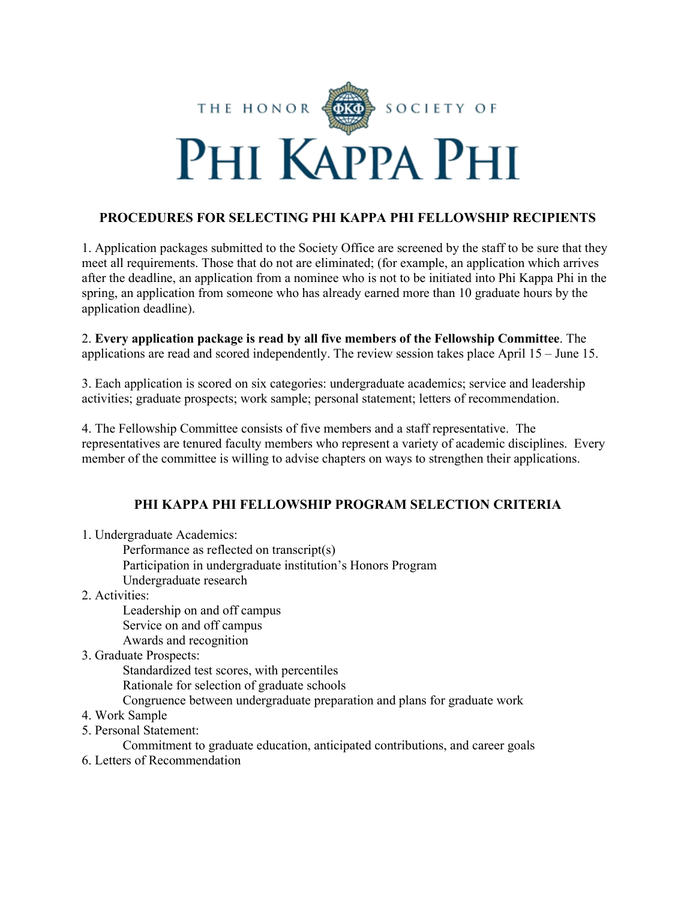

# **PROCEDURES FOR SELECTING PHI KAPPA PHI FELLOWSHIP RECIPIENTS**

1. Application packages submitted to the Society Office are screened by the staff to be sure that they meet all requirements. Those that do not are eliminated; (for example, an application which arrives after the deadline, an application from a nominee who is not to be initiated into Phi Kappa Phi in the spring, an application from someone who has already earned more than 10 graduate hours by the application deadline).

2. **Every application package is read by all five members of the Fellowship Committee**. The applications are read and scored independently. The review session takes place April 15 – June 15.

3. Each application is scored on six categories: undergraduate academics; service and leadership activities; graduate prospects; work sample; personal statement; letters of recommendation.

4. The Fellowship Committee consists of five members and a staff representative. The representatives are tenured faculty members who represent a variety of academic disciplines. Every member of the committee is willing to advise chapters on ways to strengthen their applications.

## **PHI KAPPA PHI FELLOWSHIP PROGRAM SELECTION CRITERIA**

- 1. Undergraduate Academics:
	- Performance as reflected on transcript(s)
	- Participation in undergraduate institution's Honors Program
	- Undergraduate research
- 2. Activities:

Leadership on and off campus Service on and off campus Awards and recognition

3. Graduate Prospects:

Standardized test scores, with percentiles Rationale for selection of graduate schools Congruence between undergraduate preparation and plans for graduate work

- 4. Work Sample
- 5. Personal Statement:

Commitment to graduate education, anticipated contributions, and career goals

6. Letters of Recommendation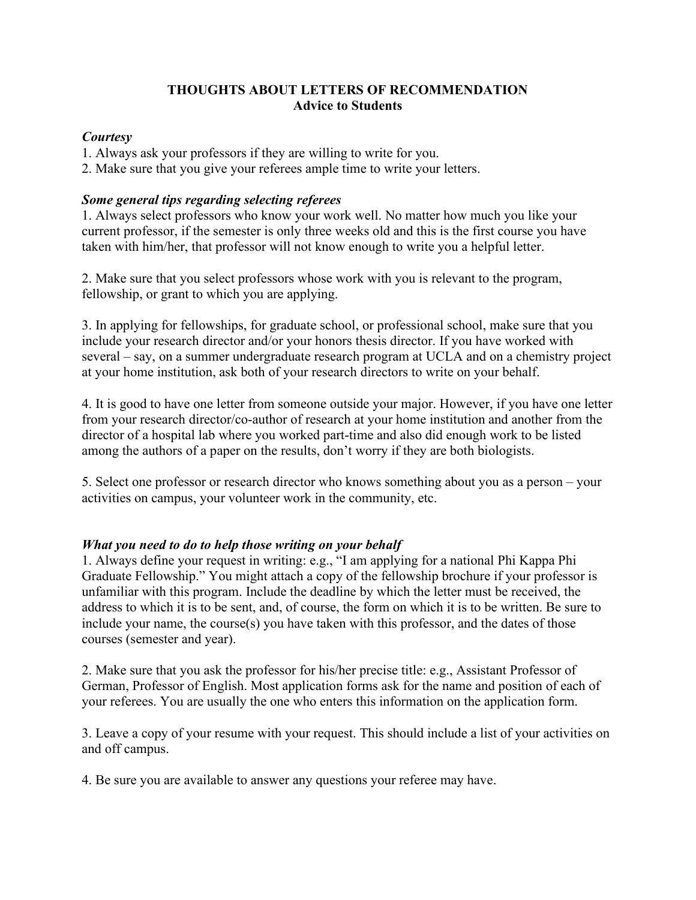### **THOUGHTS ABOUT LETTERS OF RECOMMENDATION Advice to Students**

### *Courtesy*

1. Always ask your professors if they are willing to write for you.

2. Make sure that you give your referees ample time to write your letters.

### *Some general tips regarding selecting referees*

1. Always select professors who know your work well. No matter how much you like your current professor, if the semester is only three weeks old and this is the first course you have taken with him/her, that professor will not know enough to write you a helpful letter.

2. Make sure that you select professors whose work with you is relevant to the program, fellowship, or grant to which you are applying.

3. In applying for fellowships, for graduate school, or professional school, make sure that you include your research director and/or your honors thesis director. If you have worked with several – say, on a summer undergraduate research program at UCLA and on a chemistry project at your home institution, ask both of your research directors to write on your behalf.

4. It is good to have one letter from someone outside your major. However, if you have one letter from your research director/co-author of research at your home institution and another from the director of a hospital lab where you worked part-time and also did enough work to be listed among the authors of a paper on the results, don't worry if they are both biologists.

5. Select one professor or research director who knows something about you as a person – your activities on campus, your volunteer work in the community, etc.

## *What you need to do to help those writing on your behalf*

1. Always define your request in writing: e.g., "I am applying for a national Phi Kappa Phi Graduate Fellowship." You might attach a copy of the fellowship brochure if your professor is unfamiliar with this program. Include the deadline by which the letter must be received, the address to which it is to be sent, and, of course, the form on which it is to be written. Be sure to include your name, the course(s) you have taken with this professor, and the dates of those courses (semester and year).

2. Make sure that you ask the professor for his/her precise title: e.g., Assistant Professor of German, Professor of English. Most application forms ask for the name and position of each of your referees. You are usually the one who enters this information on the application form.

3. Leave a copy of your resume with your request. This should include a list of your activities on and off campus.

4. Be sure you are available to answer any questions your referee may have.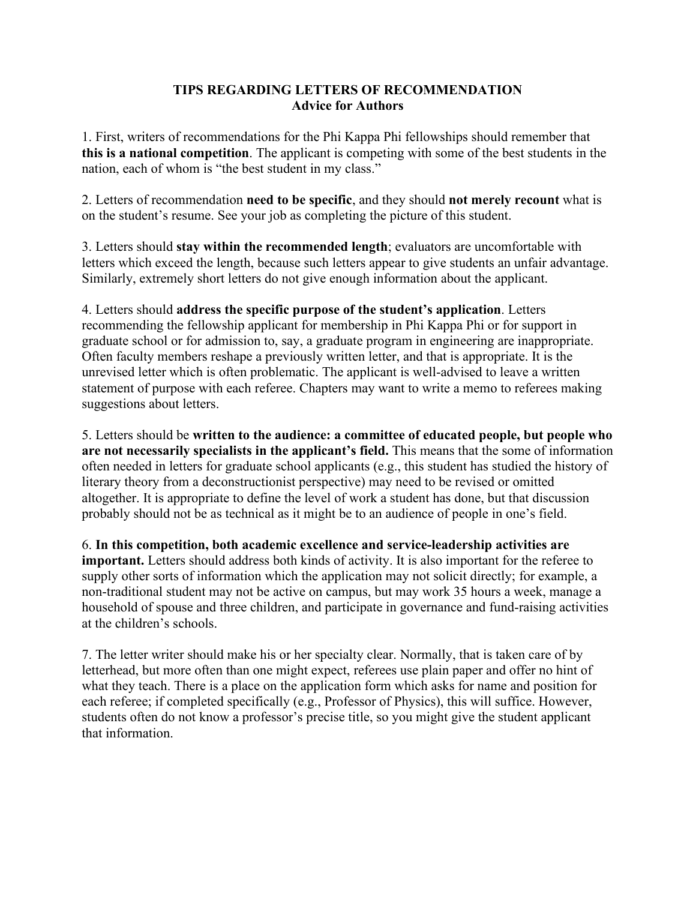#### **TIPS REGARDING LETTERS OF RECOMMENDATION Advice for Authors**

1. First, writers of recommendations for the Phi Kappa Phi fellowships should remember that **this is a national competition**. The applicant is competing with some of the best students in the nation, each of whom is "the best student in my class."

2. Letters of recommendation **need to be specific**, and they should **not merely recount** what is on the student's resume. See your job as completing the picture of this student.

3. Letters should **stay within the recommended length**; evaluators are uncomfortable with letters which exceed the length, because such letters appear to give students an unfair advantage. Similarly, extremely short letters do not give enough information about the applicant.

4. Letters should **address the specific purpose of the student's application**. Letters recommending the fellowship applicant for membership in Phi Kappa Phi or for support in graduate school or for admission to, say, a graduate program in engineering are inappropriate. Often faculty members reshape a previously written letter, and that is appropriate. It is the unrevised letter which is often problematic. The applicant is well-advised to leave a written statement of purpose with each referee. Chapters may want to write a memo to referees making suggestions about letters.

5. Letters should be **written to the audience: a committee of educated people, but people who are not necessarily specialists in the applicant's field.** This means that the some of information often needed in letters for graduate school applicants (e.g., this student has studied the history of literary theory from a deconstructionist perspective) may need to be revised or omitted altogether. It is appropriate to define the level of work a student has done, but that discussion probably should not be as technical as it might be to an audience of people in one's field.

6. **In this competition, both academic excellence and service-leadership activities are important.** Letters should address both kinds of activity. It is also important for the referee to supply other sorts of information which the application may not solicit directly; for example, a non-traditional student may not be active on campus, but may work 35 hours a week, manage a household of spouse and three children, and participate in governance and fund-raising activities at the children's schools.

7. The letter writer should make his or her specialty clear. Normally, that is taken care of by letterhead, but more often than one might expect, referees use plain paper and offer no hint of what they teach. There is a place on the application form which asks for name and position for each referee; if completed specifically (e.g., Professor of Physics), this will suffice. However, students often do not know a professor's precise title, so you might give the student applicant that information.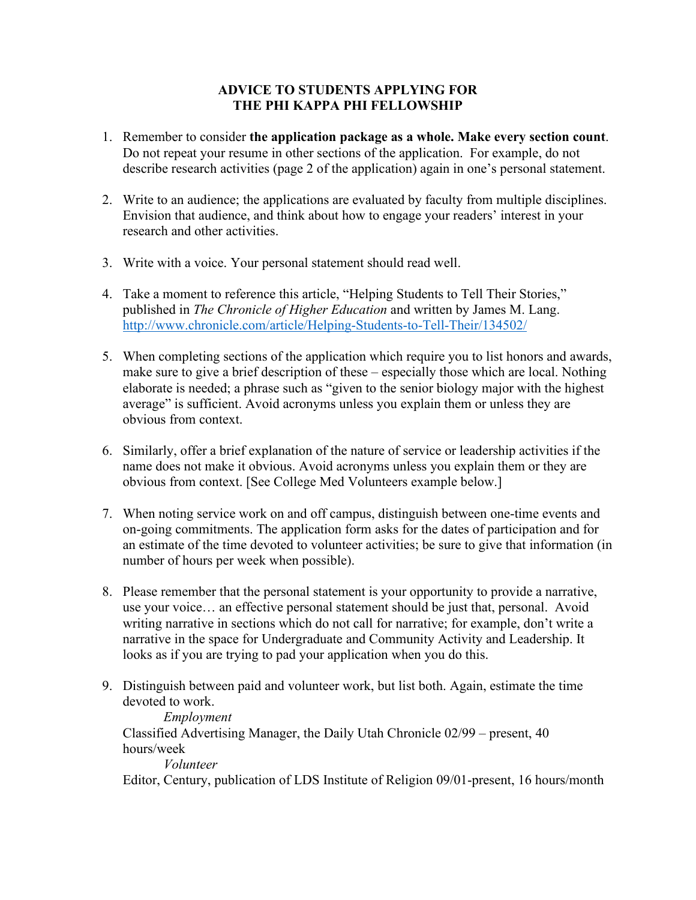### **ADVICE TO STUDENTS APPLYING FOR THE PHI KAPPA PHI FELLOWSHIP**

- 1. Remember to consider **the application package as a whole. Make every section count**. Do not repeat your resume in other sections of the application. For example, do not describe research activities (page 2 of the application) again in one's personal statement.
- 2. Write to an audience; the applications are evaluated by faculty from multiple disciplines. Envision that audience, and think about how to engage your readers' interest in your research and other activities.
- 3. Write with a voice. Your personal statement should read well.
- 4. Take a moment to reference this article, "Helping Students to Tell Their Stories," published in *The Chronicle of Higher Education* and written by James M. Lang. <http://www.chronicle.com/article/Helping-Students-to-Tell-Their/134502/>
- 5. When completing sections of the application which require you to list honors and awards, make sure to give a brief description of these – especially those which are local. Nothing elaborate is needed; a phrase such as "given to the senior biology major with the highest average" is sufficient. Avoid acronyms unless you explain them or unless they are obvious from context.
- 6. Similarly, offer a brief explanation of the nature of service or leadership activities if the name does not make it obvious. Avoid acronyms unless you explain them or they are obvious from context. [See College Med Volunteers example below.]
- 7. When noting service work on and off campus, distinguish between one-time events and on-going commitments. The application form asks for the dates of participation and for an estimate of the time devoted to volunteer activities; be sure to give that information (in number of hours per week when possible).
- 8. Please remember that the personal statement is your opportunity to provide a narrative, use your voice… an effective personal statement should be just that, personal. Avoid writing narrative in sections which do not call for narrative; for example, don't write a narrative in the space for Undergraduate and Community Activity and Leadership. It looks as if you are trying to pad your application when you do this.
- 9. Distinguish between paid and volunteer work, but list both. Again, estimate the time devoted to work.

## *Employment*

Classified Advertising Manager, the Daily Utah Chronicle 02/99 – present, 40 hours/week

*Volunteer* 

Editor, Century, publication of LDS Institute of Religion 09/01-present, 16 hours/month